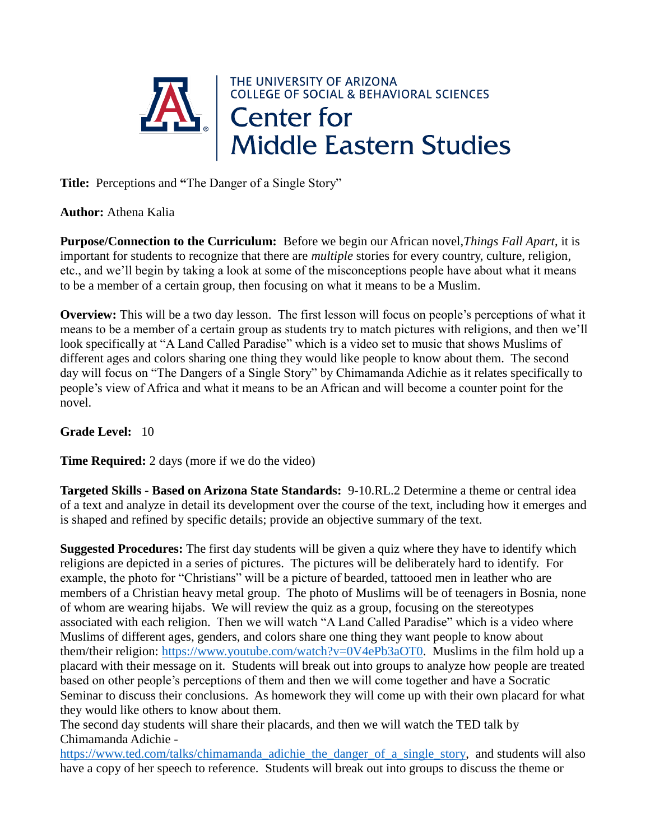

**Author:** Athena Kalia

**Purpose/Connection to the Curriculum:** Before we begin our African novel,*Things Fall Apart*, it is important for students to recognize that there are *multiple* stories for every country, culture, religion, etc., and we'll begin by taking a look at some of the misconceptions people have about what it means to be a member of a certain group, then focusing on what it means to be a Muslim.

**Overview:** This will be a two day lesson. The first lesson will focus on people's perceptions of what it means to be a member of a certain group as students try to match pictures with religions, and then we'll look specifically at "A Land Called Paradise" which is a video set to music that shows Muslims of different ages and colors sharing one thing they would like people to know about them. The second day will focus on "The Dangers of a Single Story" by Chimamanda Adichie as it relates specifically to people's view of Africa and what it means to be an African and will become a counter point for the novel.

## **Grade Level:** 10

**Time Required:** 2 days (more if we do the video)

**Targeted Skills - Based on Arizona State Standards:** 9-10.RL.2 Determine a theme or central idea of a text and analyze in detail its development over the course of the text, including how it emerges and is shaped and refined by specific details; provide an objective summary of the text.

**Suggested Procedures:** The first day students will be given a quiz where they have to identify which religions are depicted in a series of pictures. The pictures will be deliberately hard to identify. For example, the photo for "Christians" will be a picture of bearded, tattooed men in leather who are members of a Christian heavy metal group. The photo of Muslims will be of teenagers in Bosnia, none of whom are wearing hijabs. We will review the quiz as a group, focusing on the stereotypes associated with each religion. Then we will watch "A Land Called Paradise" which is a video where Muslims of different ages, genders, and colors share one thing they want people to know about them/their religion: [https://www.youtube.com/watch?v=0V4ePb3aOT0.](https://www.youtube.com/watch?v=0V4ePb3aOT0) Muslims in the film hold up a placard with their message on it. Students will break out into groups to analyze how people are treated based on other people's perceptions of them and then we will come together and have a Socratic Seminar to discuss their conclusions. As homework they will come up with their own placard for what they would like others to know about them.

The second day students will share their placards, and then we will watch the TED talk by Chimamanda Adichie -

[https://www.ted.com/talks/chimamanda\\_adichie\\_the\\_danger\\_of\\_a\\_single\\_story,](https://www.ted.com/talks/chimamanda_adichie_the_danger_of_a_single_story) and students will also have a copy of her speech to reference. Students will break out into groups to discuss the theme or